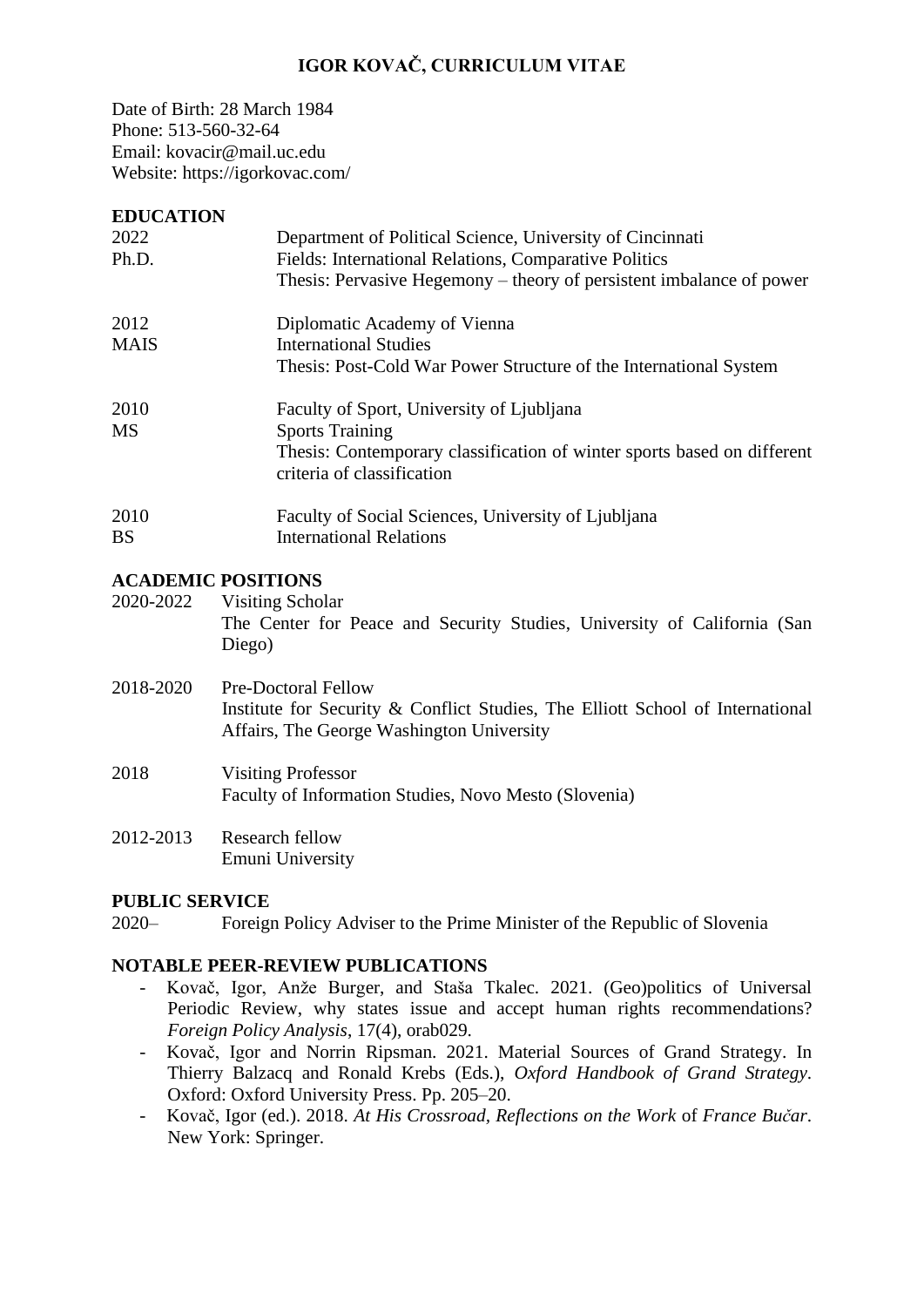# **IGOR KOVAČ, CURRICULUM VITAE**

Date of Birth: 28 March 1984 Phone: 513-560-32-64 Email: kovacir@mail.uc.edu Website: https://igorkovac.com/

#### **EDUCATION**

| LDUCATION   |                                                                         |
|-------------|-------------------------------------------------------------------------|
| 2022        | Department of Political Science, University of Cincinnati               |
| Ph.D.       | Fields: International Relations, Comparative Politics                   |
|             | Thesis: Pervasive Hegemony – theory of persistent imbalance of power    |
| 2012        | Diplomatic Academy of Vienna                                            |
| <b>MAIS</b> | <b>International Studies</b>                                            |
|             | Thesis: Post-Cold War Power Structure of the International System       |
| 2010        | Faculty of Sport, University of Ljubljana                               |
| MS          | <b>Sports Training</b>                                                  |
|             | Thesis: Contemporary classification of winter sports based on different |
|             | criteria of classification                                              |
| 2010        | Faculty of Social Sciences, University of Ljubliana                     |
| <b>BS</b>   | <b>International Relations</b>                                          |
|             |                                                                         |

### **ACADEMIC POSITIONS**

2020-2022 Visiting Scholar The Center for Peace and Security Studies, University of California (San Diego)

- 2018-2020 Pre-Doctoral Fellow Institute for Security & Conflict Studies, The Elliott School of International Affairs, The George Washington University
- 2018 Visiting Professor Faculty of Information Studies, Novo Mesto (Slovenia)
- 2012-2013 Research fellow Emuni University

#### **PUBLIC SERVICE**

2020– Foreign Policy Adviser to the Prime Minister of the Republic of Slovenia

#### **NOTABLE PEER-REVIEW PUBLICATIONS**

- Kovač, Igor, Anže Burger, and Staša Tkalec. 2021. (Geo)politics of Universal Periodic Review, why states issue and accept human rights recommendations? *Foreign Policy Analysis*, 17(4), orab029.
- Kovač, Igor and Norrin Ripsman. 2021. Material Sources of Grand Strategy. In Thierry Balzacq and Ronald Krebs (Eds.), *Oxford Handbook of Grand Strategy*. Oxford: Oxford University Press. Pp. 205–20.
- Kovač, Igor (ed.). 2018. *At His Crossroad, Reflections on the Work* of *France Bučar*. New York: Springer.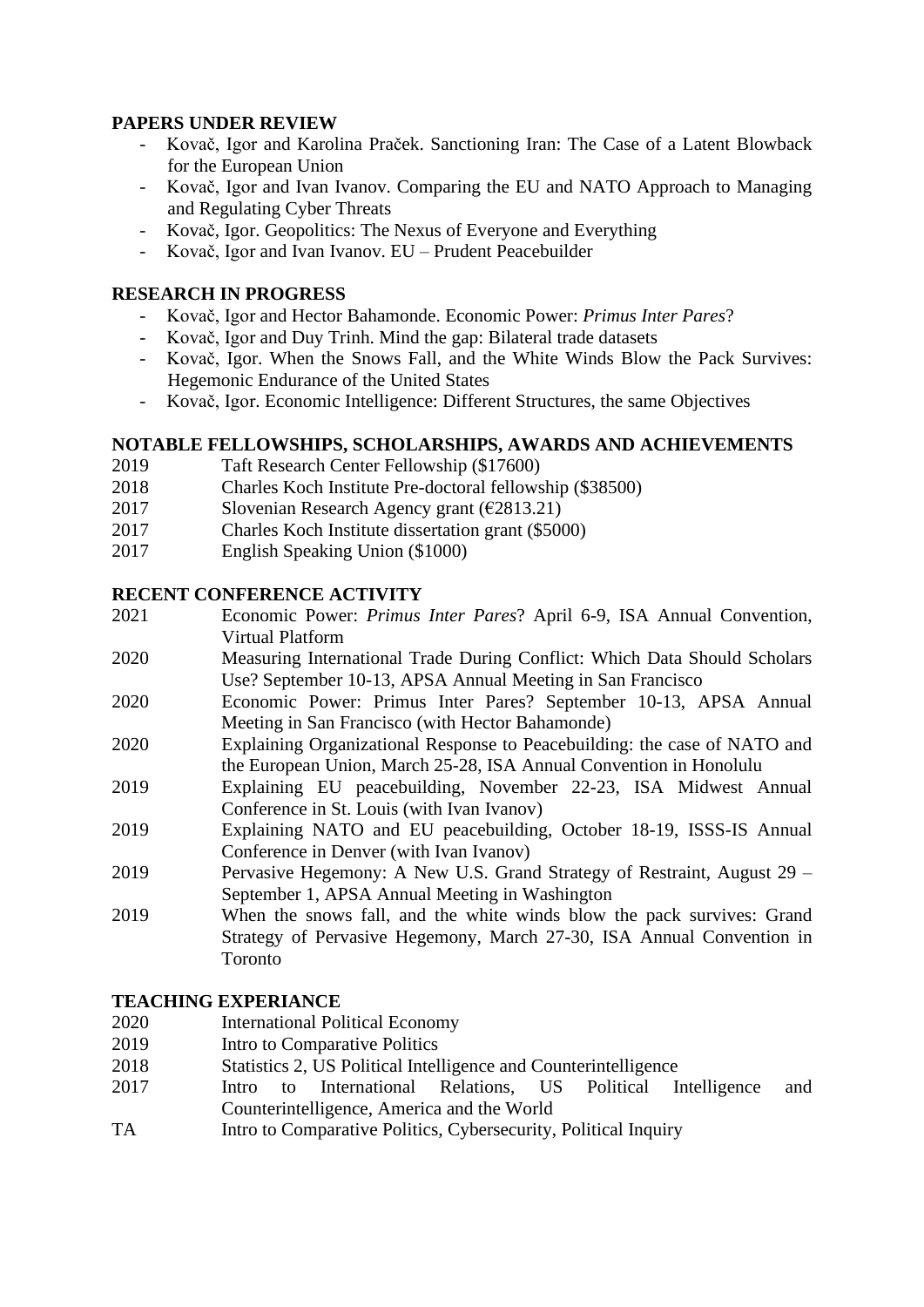## **PAPERS UNDER REVIEW**

- Kovač, Igor and Karolina Praček. Sanctioning Iran: The Case of a Latent Blowback for the European Union
- Kovač, Igor and Ivan Ivanov. Comparing the EU and NATO Approach to Managing and Regulating Cyber Threats
- Kovač, Igor. Geopolitics: The Nexus of Everyone and Everything
- Kovač, Igor and Ivan Ivanov. EU Prudent Peacebuilder

## **RESEARCH IN PROGRESS**

- Kovač, Igor and Hector Bahamonde. Economic Power: *Primus Inter Pares*?
- Kovač, Igor and Duy Trinh. Mind the gap: Bilateral trade datasets
- Kovač, Igor. When the Snows Fall, and the White Winds Blow the Pack Survives: Hegemonic Endurance of the United States
- Kovač, Igor. Economic Intelligence: Different Structures, the same Objectives

## **NOTABLE FELLOWSHIPS, SCHOLARSHIPS, AWARDS AND ACHIEVEMENTS**

- 2019 Taft Research Center Fellowship (\$17600)
- 2018 Charles Koch Institute Pre-doctoral fellowship (\$38500)
- 2017 Slovenian Research Agency grant  $(62813.21)$
- 2017 Charles Koch Institute dissertation grant (\$5000)
- 2017 English Speaking Union (\$1000)

## **RECENT CONFERENCE ACTIVITY**

- 2021 Economic Power: *Primus Inter Pares*? April 6-9, ISA Annual Convention, Virtual Platform
- 2020 Measuring International Trade During Conflict: Which Data Should Scholars Use? September 10-13, APSA Annual Meeting in San Francisco
- 2020 Economic Power: Primus Inter Pares? September 10-13, APSA Annual Meeting in San Francisco (with Hector Bahamonde)
- 2020 Explaining Organizational Response to Peacebuilding: the case of NATO and the European Union, March 25-28, ISA Annual Convention in Honolulu
- 2019 Explaining EU peacebuilding, November 22-23, ISA Midwest Annual Conference in St. Louis (with Ivan Ivanov)
- 2019 Explaining NATO and EU peacebuilding, October 18-19, ISSS-IS Annual Conference in Denver (with Ivan Ivanov)
- 2019 Pervasive Hegemony: A New U.S. Grand Strategy of Restraint, August 29 September 1, APSA Annual Meeting in Washington
- 2019 When the snows fall, and the white winds blow the pack survives: Grand Strategy of Pervasive Hegemony, March 27-30, ISA Annual Convention in Toronto

## **TEACHING EXPERIANCE**

- 2020 International Political Economy
- 2019 Intro to Comparative Politics
- 2018 Statistics 2, US Political Intelligence and Counterintelligence<br>2017 Intro to International Relations. US Political I
- 2017 Intro to International Relations, US Political Intelligence and Counterintelligence, America and the World
- TA Intro to Comparative Politics, Cybersecurity, Political Inquiry